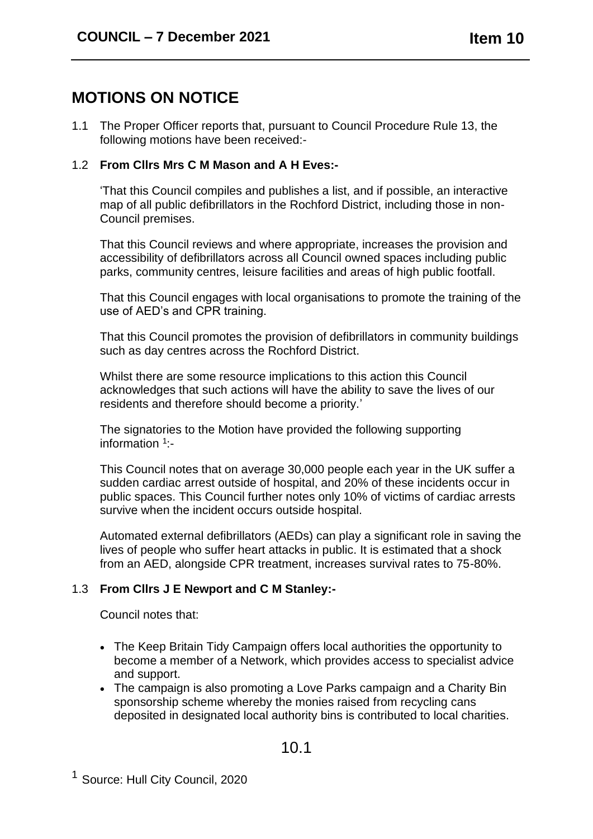# **MOTIONS ON NOTICE**

1.1 The Proper Officer reports that, pursuant to Council Procedure Rule 13, the following motions have been received:-

#### 1.2 **From Cllrs Mrs C M Mason and A H Eves:-**

'That this Council compiles and publishes a list, and if possible, an interactive map of all public defibrillators in the Rochford District, including those in non-Council premises.

That this Council reviews and where appropriate, increases the provision and accessibility of defibrillators across all Council owned spaces including public parks, community centres, leisure facilities and areas of high public footfall.

That this Council engages with local organisations to promote the training of the use of AED's and CPR training.

That this Council promotes the provision of defibrillators in community buildings such as day centres across the Rochford District.

Whilst there are some resource implications to this action this Council acknowledges that such actions will have the ability to save the lives of our residents and therefore should become a priority.'

The signatories to the Motion have provided the following supporting information <sup>1</sup>:-

This Council notes that on average 30,000 people each year in the UK suffer a sudden cardiac arrest outside of hospital, and 20% of these incidents occur in public spaces. This Council further notes only 10% of victims of cardiac arrests survive when the incident occurs outside hospital.

Automated external defibrillators (AEDs) can play a significant role in saving the lives of people who suffer heart attacks in public. It is estimated that a shock from an AED, alongside CPR treatment, increases survival rates to 75-80%.

### 1.3 **From Cllrs J E Newport and C M Stanley:-**

Council notes that:

- The Keep Britain Tidy Campaign offers local authorities the opportunity to become a member of a Network, which provides access to specialist advice and support.
- The campaign is also promoting a Love Parks campaign and a Charity Bin sponsorship scheme whereby the monies raised from recycling cans deposited in designated local authority bins is contributed to local charities.

## 10.1

<sup>&</sup>lt;sup>1</sup> Source: Hull City Council, 2020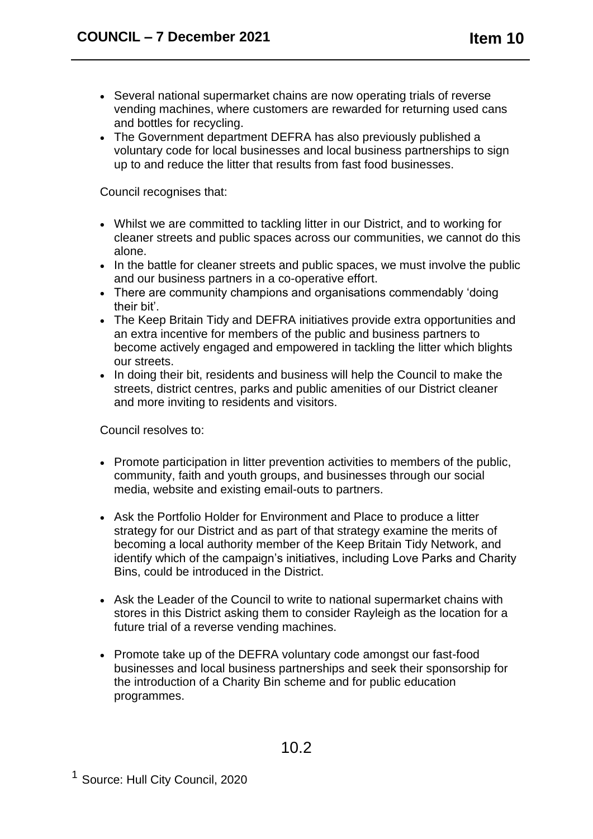- Several national supermarket chains are now operating trials of reverse vending machines, where customers are rewarded for returning used cans and bottles for recycling.
- The Government department DEFRA has also previously published a voluntary code for local businesses and local business partnerships to sign up to and reduce the litter that results from fast food businesses.

Council recognises that:

- Whilst we are committed to tackling litter in our District, and to working for cleaner streets and public spaces across our communities, we cannot do this alone.
- In the battle for cleaner streets and public spaces, we must involve the public and our business partners in a co-operative effort.
- There are community champions and organisations commendably 'doing their bit'.
- The Keep Britain Tidy and DEFRA initiatives provide extra opportunities and an extra incentive for members of the public and business partners to become actively engaged and empowered in tackling the litter which blights our streets.
- In doing their bit, residents and business will help the Council to make the streets, district centres, parks and public amenities of our District cleaner and more inviting to residents and visitors.

Council resolves to:

- Promote participation in litter prevention activities to members of the public, community, faith and youth groups, and businesses through our social media, website and existing email-outs to partners.
- Ask the Portfolio Holder for Environment and Place to produce a litter strategy for our District and as part of that strategy examine the merits of becoming a local authority member of the Keep Britain Tidy Network, and identify which of the campaign's initiatives, including Love Parks and Charity Bins, could be introduced in the District.
- Ask the Leader of the Council to write to national supermarket chains with stores in this District asking them to consider Rayleigh as the location for a future trial of a reverse vending machines.
- Promote take up of the DEFRA voluntary code amongst our fast-food businesses and local business partnerships and seek their sponsorship for the introduction of a Charity Bin scheme and for public education programmes.

10.2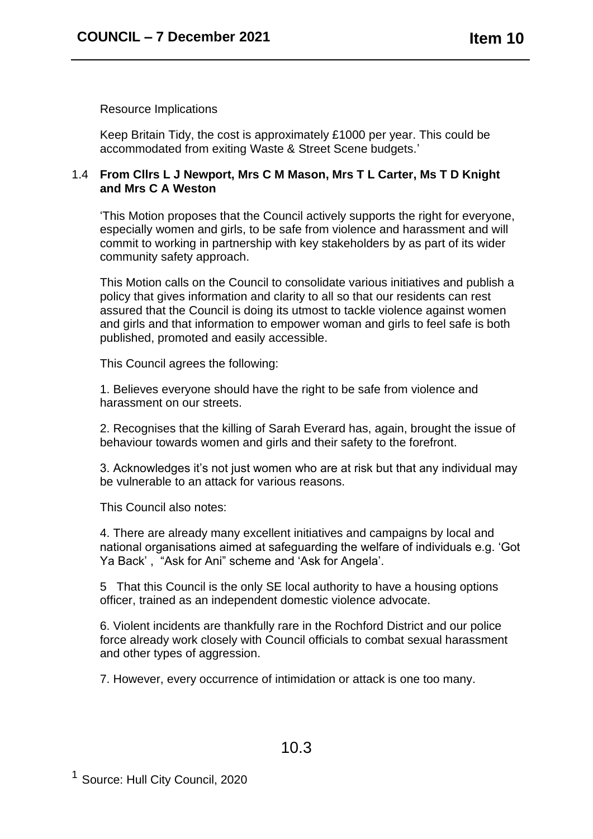Resource Implications

Keep Britain Tidy, the cost is approximately £1000 per year. This could be accommodated from exiting Waste & Street Scene budgets.'

#### 1.4 **From Cllrs L J Newport, Mrs C M Mason, Mrs T L Carter, Ms T D Knight and Mrs C A Weston**

'This Motion proposes that the Council actively supports the right for everyone, especially women and girls, to be safe from violence and harassment and will commit to working in partnership with key stakeholders by as part of its wider community safety approach.

This Motion calls on the Council to consolidate various initiatives and publish a policy that gives information and clarity to all so that our residents can rest assured that the Council is doing its utmost to tackle violence against women and girls and that information to empower woman and girls to feel safe is both published, promoted and easily accessible.

This Council agrees the following:

1. Believes everyone should have the right to be safe from violence and harassment on our streets.

2. Recognises that the killing of Sarah Everard has, again, brought the issue of behaviour towards women and girls and their safety to the forefront.

3. Acknowledges it's not just women who are at risk but that any individual may be vulnerable to an attack for various reasons.

This Council also notes:

4. There are already many excellent initiatives and campaigns by local and national organisations aimed at safeguarding the welfare of individuals e.g. 'Got Ya Back' , "Ask for Ani" scheme and 'Ask for Angela'.

5 That this Council is the only SE local authority to have a housing options officer, trained as an independent domestic violence advocate.

6. Violent incidents are thankfully rare in the Rochford District and our police force already work closely with Council officials to combat sexual harassment and other types of aggression.

7. However, every occurrence of intimidation or attack is one too many.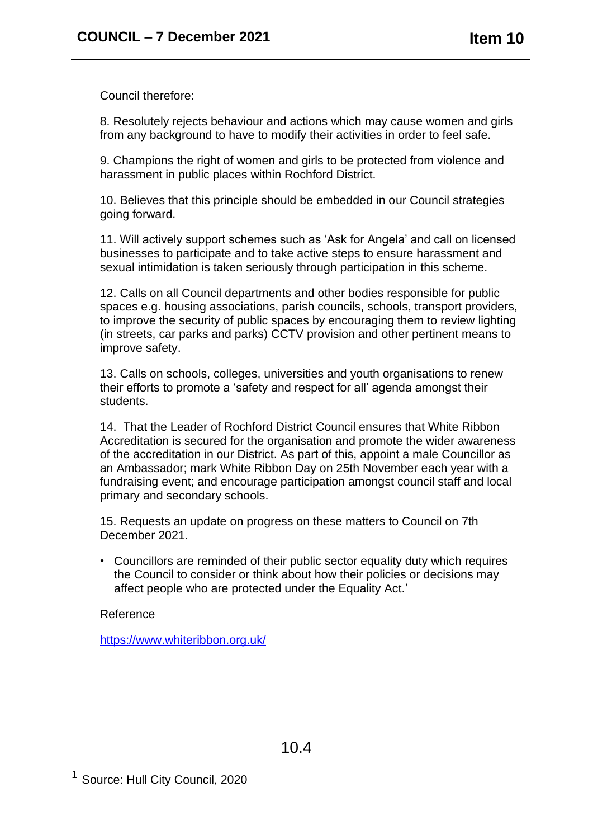Council therefore:

8. Resolutely rejects behaviour and actions which may cause women and girls from any background to have to modify their activities in order to feel safe.

9. Champions the right of women and girls to be protected from violence and harassment in public places within Rochford District.

10. Believes that this principle should be embedded in our Council strategies going forward.

11. Will actively support schemes such as 'Ask for Angela' and call on licensed businesses to participate and to take active steps to ensure harassment and sexual intimidation is taken seriously through participation in this scheme.

12. Calls on all Council departments and other bodies responsible for public spaces e.g. housing associations, parish councils, schools, transport providers, to improve the security of public spaces by encouraging them to review lighting (in streets, car parks and parks) CCTV provision and other pertinent means to improve safety.

13. Calls on schools, colleges, universities and youth organisations to renew their efforts to promote a 'safety and respect for all' agenda amongst their students.

14. That the Leader of Rochford District Council ensures that White Ribbon Accreditation is secured for the organisation and promote the wider awareness of the accreditation in our District. As part of this, appoint a male Councillor as an Ambassador; mark White Ribbon Day on 25th November each year with a fundraising event; and encourage participation amongst council staff and local primary and secondary schools.

15. Requests an update on progress on these matters to Council on 7th December 2021.

• Councillors are reminded of their public sector equality duty which requires the Council to consider or think about how their policies or decisions may affect people who are protected under the Equality Act.'

Reference

<https://www.whiteribbon.org.uk/>

<sup>1</sup> Source: Hull City Council, 2020